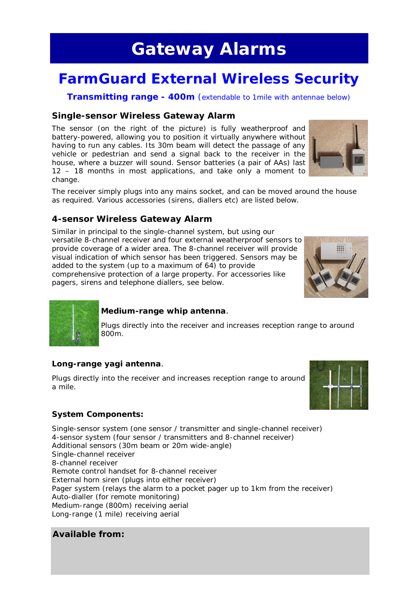## **Gateway Alarms**

## **FarmGuard External Wireless Security**

**Transmitting range - 400m** (extendable to 1mile with antennae below)

#### **Single-sensor Wireless Gateway Alarm**

The sensor (on the right of the picture) is fully weatherproof and battery-powered, allowing you to position it virtually anywhere without having to run any cables. Its 30m beam will detect the passage of any vehicle or pedestrian and send a signal back to the receiver in the house, where a buzzer will sound. Sensor batteries (a pair of AAs) last 12 – 18 months in most applications, and take only a moment to change.



The receiver simply plugs into any mains socket, and can be moved around the house as required. Various accessories (sirens, diallers etc) are listed below.

#### **4-sensor Wireless Gateway Alarm**

Similar in principal to the single-channel system, but using our versatile 8-channel receiver and four external weatherproof sensors to provide coverage of a wider area. The 8-channel receiver will provide visual indication of which sensor has been triggered. Sensors may be added to the system (up to a maximum of 64) to provide comprehensive protection of a large property. For accessories like pagers, sirens and telephone diallers, see below.





#### **Medium-range whip antenna**.

Plugs directly into the receiver and increases reception range to around 800m.

#### **Long-range yagi antenna**.

Plugs directly into the receiver and increases reception range to around a mile.



#### **System Components:**

Single-sensor system (one sensor / transmitter and single-channel receiver) 4-sensor system (four sensor / transmitters and 8-channel receiver) Additional sensors (30m beam or 20m wide-angle) Single-channel receiver 8-channel receiver Remote control handset for 8-channel receiver External horn siren (plugs into either receiver) Pager system (relays the alarm to a pocket pager up to 1km from the receiver) Auto-dialler (for remote monitoring) Medium-range (800m) receiving aerial Long-range (1 mile) receiving aerial

#### **Available from:**